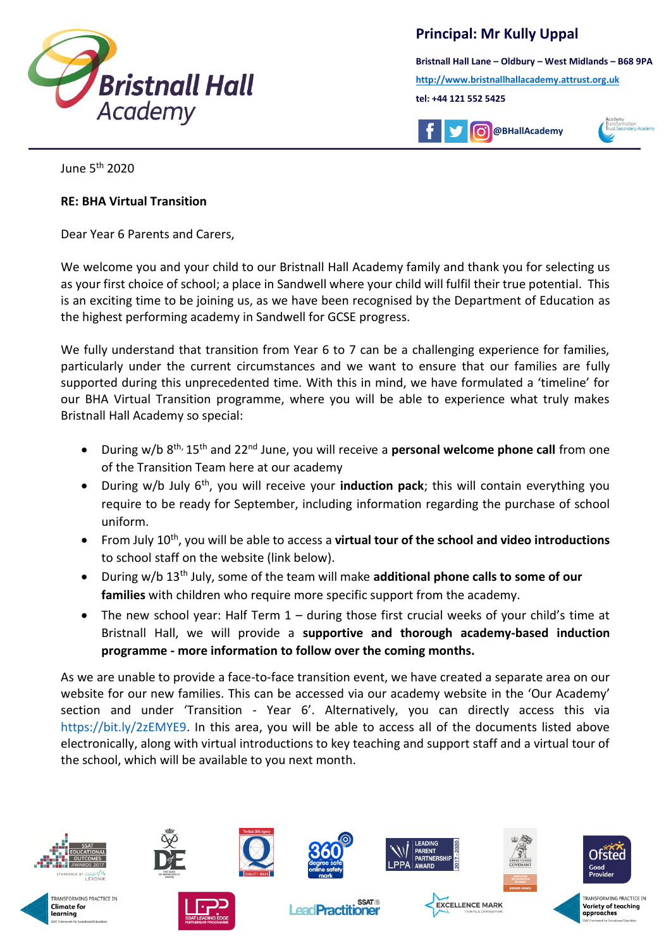

**Principal: Mr Kully Uppal**

**Bristnall Hall Lane – Oldbury – West Midlands – B68 9PA [http://www.bristnallhallacademy.attrust.org.uk](http://www.bristnallhallacademy.attrust.org.uk/) tel: +44 121 552 5425** 



June 5th 2020

## **RE: BHA Virtual Transition**

Dear Year 6 Parents and Carers,

We welcome you and your child to our Bristnall Hall Academy family and thank you for selecting us as your first choice of school; a place in Sandwell where your child will fulfil their true potential. This is an exciting time to be joining us, as we have been recognised by the Department of Education as the highest performing academy in Sandwell for GCSE progress.

j

We fully understand that transition from Year 6 to 7 can be a challenging experience for families, particularly under the current circumstances and we want to ensure that our families are fully supported during this unprecedented time. With this in mind, we have formulated a 'timeline' for our BHA Virtual Transition programme, where you will be able to experience what truly makes Bristnall Hall Academy so special:

- During w/b 8<sup>th,</sup> 15<sup>th</sup> and 22<sup>nd</sup> June, you will receive a **personal welcome phone call** from one of the Transition Team here at our academy
- During w/b July 6th, you will receive your **induction pack**; this will contain everything you require to be ready for September, including information regarding the purchase of school uniform.
- From July 10th, you will be able to access a **virtual tour of the school and video introductions** to school staff on the website (link below).
- During w/b 13th July, some of the team will make **additional phone calls to some of our families** with children who require more specific support from the academy.
- The new school year: Half Term 1 during those first crucial weeks of your child's time at Bristnall Hall, we will provide a **supportive and thorough academy-based induction programme - more information to follow over the coming months.**

As we are unable to provide a face-to-face transition event, we have created a separate area on our website for our new families. This can be accessed via our academy website in the 'Our Academy' section and under 'Transition - Year 6'. Alternatively, you can directly access this via [https://bit.ly/2zEMYE9.](https://bit.ly/2zEMYE9) In this area, you will be able to access all of the documents listed above electronically, along with virtual introductions to key teaching and support staff and a virtual tour of the school, which will be available to you next month.